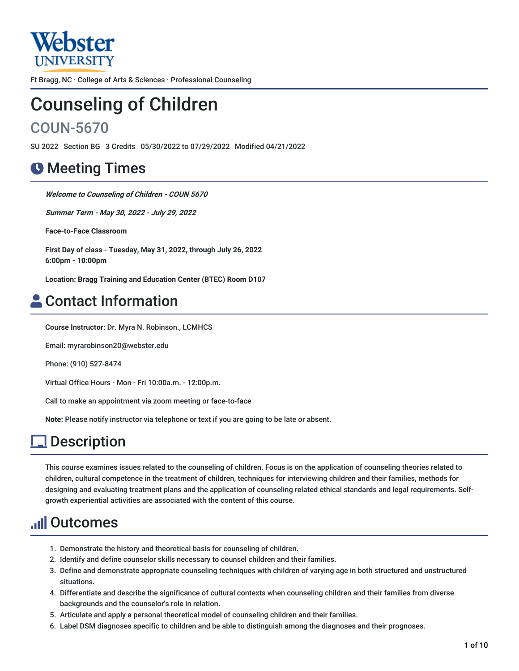

Ft Bragg, NC · College of Arts & Sciences · Professional Counseling

# Counseling of Children

# COUN-5670

SU 2022 Section BG 3 Credits 05/30/2022 to 07/29/2022 Modified 04/21/2022

# **O** Meeting Times

**Welcome to Counseling of Children - COUN 5670**

**Summer Term - May 30, 2022 - July 29, 2022**

**Face-to-Face Classroom**

**First Day of class - Tuesday, May 31, 2022, through July 26, 2022 6:00pm - 10:00pm**

**Location: Bragg Training and Education Center (BTEC) Room D107**

# Contact Information

**Course Instructor**: Dr. Myra N. Robinson., LCMHCS

Email: myrarobinson20@webster.edu

Phone: (910) 527-8474

Virtual Office Hours - Mon - Fri 10:00a.m. - 12:00p.m.

Call to make an appointment via zoom meeting or face-to-face

**Note:** Please notify instructor via telephone or text if you are going to be late or absent.

# **l** Description

This course examines issues related to the counseling of children. Focus is on the application of counseling theories related to children, cultural competence in the treatment of children, techniques for interviewing children and their families, methods for designing and evaluating treatment plans and the application of counseling related ethical standards and legal requirements. Selfgrowth experiential activities are associated with the content of this course.

# Outcomes

- 1. Demonstrate the history and theoretical basis for counseling of children.
- 2. Identify and define counselor skills necessary to counsel children and their families.
- 3. Define and demonstrate appropriate counseling techniques with children of varying age in both structured and unstructured situations.
- 4. Differentiate and describe the significance of cultural contexts when counseling children and their families from diverse backgrounds and the counselor's role in relation.
- 5. Articulate and apply a personal theoretical model of counseling children and their families.
- 6. Label DSM diagnoses specific to children and be able to distinguish among the diagnoses and their prognoses.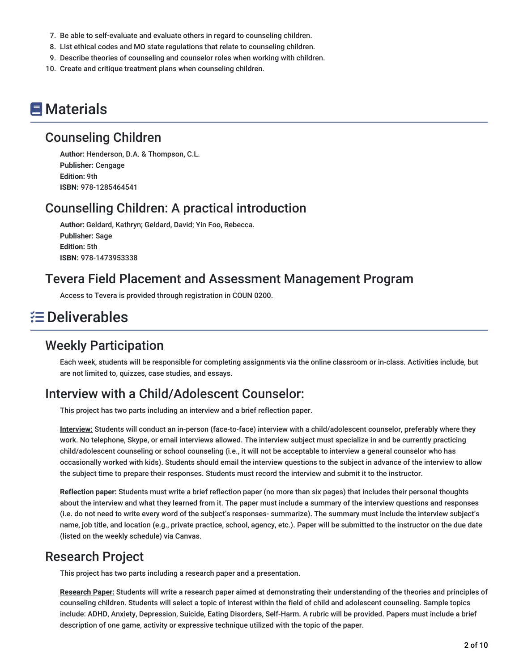- 7. Be able to self-evaluate and evaluate others in regard to counseling children.
- 8. List ethical codes and MO state regulations that relate to counseling children.
- 9. Describe theories of counseling and counselor roles when working with children.
- 10. Create and critique treatment plans when counseling children.

# **E** Materials

### Counseling Children

**Author:** Henderson, D.A. & Thompson, C.L. **Publisher:** Cengage **Edition:** 9th **ISBN:** 978-1285464541

### Counselling Children: A practical introduction

**Author:** Geldard, Kathryn; Geldard, David; Yin Foo, Rebecca. **Publisher:** Sage **Edition:** 5th **ISBN:** 978-1473953338

### Tevera Field Placement and Assessment Management Program

Access to Tevera is provided through registration in COUN 0200.

# Deliverables

### Weekly Participation

Each week, students will be responsible for completing assignments via the online classroom or in-class. Activities include, but are not limited to, quizzes, case studies, and essays.

# Interview with a Child/Adolescent Counselor:

This project has two parts including an interview and a brief reflection paper.

**Interview:** Students will conduct an in-person (face-to-face) interview with a child/adolescent counselor, preferably where they work. No telephone, Skype, or email interviews allowed. The interview subject must specialize in and be currently practicing child/adolescent counseling or school counseling (i.e., it will not be acceptable to interview a general counselor who has occasionally worked with kids). Students should email the interview questions to the subject in advance of the interview to allow the subject time to prepare their responses. Students must record the interview and submit it to the instructor.

**Reflection paper:** Students must write a brief reflection paper (no more than six pages) that includes their personal thoughts about the interview and what they learned from it. The paper must include a summary of the interview questions and responses (i.e. do not need to write every word of the subject's responses- summarize). The summary must include the interview subject's name, job title, and location (e.g., private practice, school, agency, etc.). Paper will be submitted to the instructor on the due date (listed on the weekly schedule) via Canvas.

### Research Project

This project has two parts including a research paper and a presentation.

**Research Paper:** Students will write a research paper aimed at demonstrating their understanding of the theories and principles of counseling children. Students will select a topic of interest within the field of child and adolescent counseling. Sample topics include: ADHD, Anxiety, Depression, Suicide, Eating Disorders, Self-Harm. A rubric will be provided. Papers must include a brief description of one game, activity or expressive technique utilized with the topic of the paper.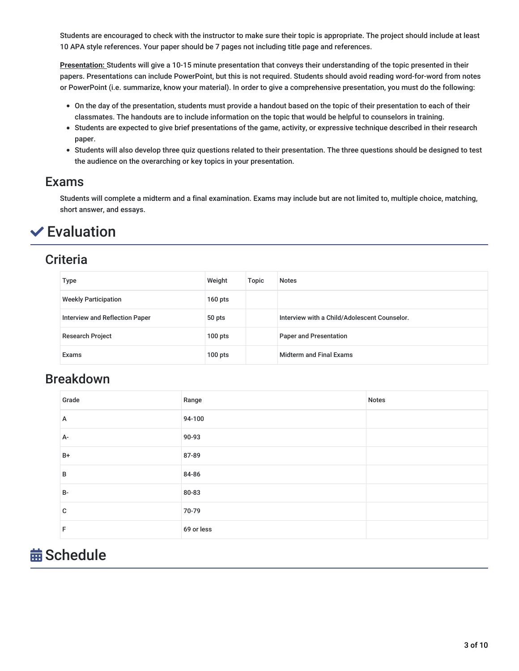Students are encouraged to check with the instructor to make sure their topic is appropriate. The project should include at least 10 APA style references. Your paper should be 7 pages not including title page and references.

**Presentation:** Students will give a 10-15 minute presentation that conveys their understanding of the topic presented in their papers. Presentations can include PowerPoint, but this is not required. Students should avoid reading word-for-word from notes or PowerPoint (i.e. summarize, know your material). In order to give a comprehensive presentation, you must do the following:

- On the day of the presentation, students must provide a handout based on the topic of their presentation to each of their classmates. The handouts are to include information on the topic that would be helpful to counselors in training.
- Students are expected to give brief presentations of the game, activity, or expressive technique described in their research paper.
- Students will also develop three quiz questions related to their presentation. The three questions should be designed to test the audience on the overarching or key topics in your presentation.

### Exams

Students will complete a midterm and a final examination. Exams may include but are not limited to, multiple choice, matching, short answer, and essays.

# $\checkmark$  Evaluation

### **Criteria**

| Type                           | Weight    | Topic | <b>Notes</b>                                 |
|--------------------------------|-----------|-------|----------------------------------------------|
| <b>Weekly Participation</b>    | $160$ pts |       |                                              |
| Interview and Reflection Paper | 50 pts    |       | Interview with a Child/Adolescent Counselor. |
| <b>Research Project</b>        | $100$ pts |       | <b>Paper and Presentation</b>                |
| Exams                          | $100$ pts |       | <b>Midterm and Final Exams</b>               |

### Breakdown

| Grade     | Range      | Notes |
|-----------|------------|-------|
| А         | 94-100     |       |
| A-        | 90-93      |       |
| B+        | 87-89      |       |
| в         | 84-86      |       |
| <b>B-</b> | 80-83      |       |
| C         | 70-79      |       |
| F         | 69 or less |       |

# **益 Schedule**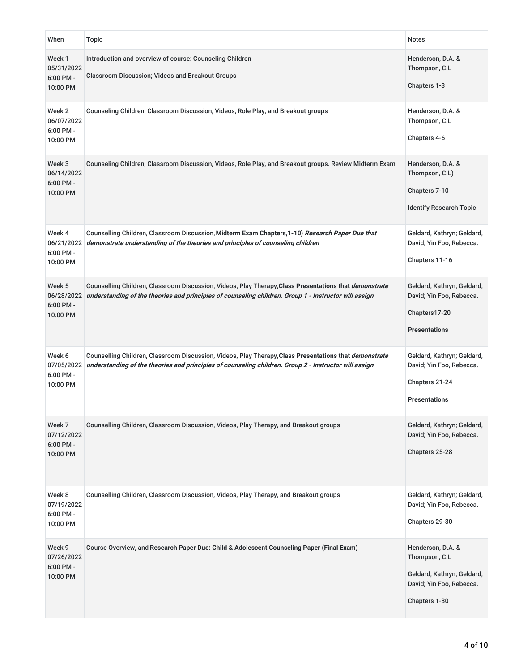| When                                            | Topic                                                                                                                                                                                                                  | <b>Notes</b>                                                                                                  |
|-------------------------------------------------|------------------------------------------------------------------------------------------------------------------------------------------------------------------------------------------------------------------------|---------------------------------------------------------------------------------------------------------------|
| Week 1<br>05/31/2022<br>6:00 PM -<br>10:00 PM   | Introduction and overview of course: Counseling Children<br><b>Classroom Discussion; Videos and Breakout Groups</b>                                                                                                    | Henderson, D.A. &<br>Thompson, C.L<br>Chapters 1-3                                                            |
| Week 2<br>06/07/2022<br>6:00 PM -<br>10:00 PM   | Counseling Children, Classroom Discussion, Videos, Role Play, and Breakout groups                                                                                                                                      | Henderson, D.A. &<br>Thompson, C.L<br>Chapters 4-6                                                            |
| Week 3<br>06/14/2022<br>$6:00$ PM -<br>10:00 PM | Counseling Children, Classroom Discussion, Videos, Role Play, and Breakout groups. Review Midterm Exam                                                                                                                 | Henderson, D.A. &<br>Thompson, C.L)<br>Chapters 7-10<br><b>Identify Research Topic</b>                        |
| Week 4<br>06/21/2022<br>6:00 PM -<br>10:00 PM   | Counselling Children, Classroom Discussion, Midterm Exam Chapters, 1-10) Research Paper Due that<br>demonstrate understanding of the theories and principles of counseling children                                    | Geldard, Kathryn; Geldard,<br>David; Yin Foo, Rebecca.<br>Chapters 11-16                                      |
| Week 5<br>06/28/2022<br>$6:00$ PM -<br>10:00 PM | Counselling Children, Classroom Discussion, Videos, Play Therapy, Class Presentations that <i>demonstrate</i><br>understanding of the theories and principles of counseling children. Group 1 - Instructor will assign | Geldard, Kathryn; Geldard,<br>David; Yin Foo, Rebecca.<br>Chapters17-20<br><b>Presentations</b>               |
| Week 6<br>07/05/2022<br>6:00 PM -<br>10:00 PM   | Counselling Children, Classroom Discussion, Videos, Play Therapy, Class Presentations that <i>demonstrate</i><br>understanding of the theories and principles of counseling children. Group 2 - Instructor will assign | Geldard, Kathryn; Geldard,<br>David; Yin Foo, Rebecca.<br>Chapters 21-24<br><b>Presentations</b>              |
| Week 7<br>07/12/2022<br>6:00 PM -<br>10:00 PM   | Counselling Children, Classroom Discussion, Videos, Play Therapy, and Breakout groups                                                                                                                                  | Geldard, Kathryn; Geldard,<br>David; Yin Foo, Rebecca.<br>Chapters 25-28                                      |
| Week 8<br>07/19/2022<br>6:00 PM -<br>10:00 PM   | Counselling Children, Classroom Discussion, Videos, Play Therapy, and Breakout groups                                                                                                                                  | Geldard, Kathryn; Geldard,<br>David; Yin Foo, Rebecca.<br>Chapters 29-30                                      |
| Week 9<br>07/26/2022<br>6:00 PM -<br>10:00 PM   | Course Overview, and Research Paper Due: Child & Adolescent Counseling Paper (Final Exam)                                                                                                                              | Henderson, D.A. &<br>Thompson, C.L<br>Geldard, Kathryn; Geldard,<br>David; Yin Foo, Rebecca.<br>Chapters 1-30 |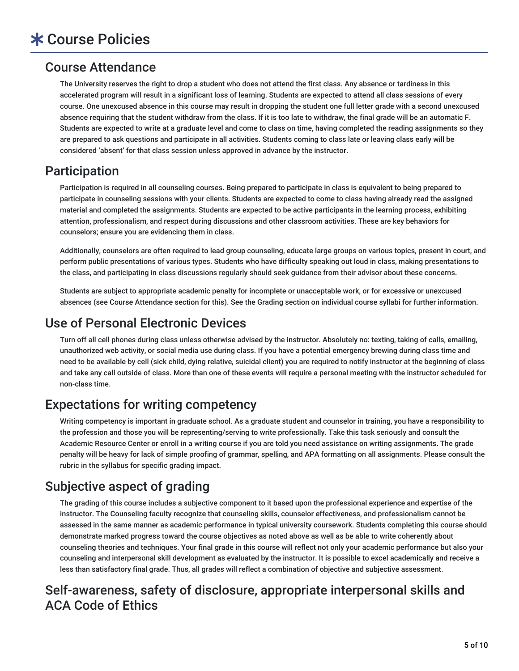# Course Attendance

The University reserves the right to drop a student who does not attend the first class. Any absence or tardiness in this accelerated program will result in a significant loss of learning. Students are expected to attend all class sessions of every course. One unexcused absence in this course may result in dropping the student one full letter grade with a second unexcused absence requiring that the student withdraw from the class. If it is too late to withdraw, the final grade will be an automatic F. Students are expected to write at a graduate level and come to class on time, having completed the reading assignments so they are prepared to ask questions and participate in all activities. Students coming to class late or leaving class early will be considered 'absent' for that class session unless approved in advance by the instructor.

# Participation

Participation is required in all counseling courses. Being prepared to participate in class is equivalent to being prepared to participate in counseling sessions with your clients. Students are expected to come to class having already read the assigned material and completed the assignments. Students are expected to be active participants in the learning process, exhibiting attention, professionalism, and respect during discussions and other classroom activities. These are key behaviors for counselors; ensure you are evidencing them in class.

Additionally, counselors are often required to lead group counseling, educate large groups on various topics, present in court, and perform public presentations of various types. Students who have difficulty speaking out loud in class, making presentations to the class, and participating in class discussions regularly should seek guidance from their advisor about these concerns.

Students are subject to appropriate academic penalty for incomplete or unacceptable work, or for excessive or unexcused absences (see Course Attendance section for this). See the Grading section on individual course syllabi for further information.

# Use of Personal Electronic Devices

Turn off all cell phones during class unless otherwise advised by the instructor. Absolutely no: texting, taking of calls, emailing, unauthorized web activity, or social media use during class. If you have a potential emergency brewing during class time and need to be available by cell (sick child, dying relative, suicidal client) you are required to notify instructor at the beginning of class and take any call outside of class. More than one of these events will require a personal meeting with the instructor scheduled for non-class time.

# Expectations for writing competency

Writing competency is important in graduate school. As a graduate student and counselor in training, you have a responsibility to the profession and those you will be representing/serving to write professionally. Take this task seriously and consult the Academic Resource Center or enroll in a writing course if you are told you need assistance on writing assignments. The grade penalty will be heavy for lack of simple proofing of grammar, spelling, and APA formatting on all assignments. Please consult the rubric in the syllabus for specific grading impact.

# Subjective aspect of grading

The grading of this course includes a subjective component to it based upon the professional experience and expertise of the instructor. The Counseling faculty recognize that counseling skills, counselor effectiveness, and professionalism cannot be assessed in the same manner as academic performance in typical university coursework. Students completing this course should demonstrate marked progress toward the course objectives as noted above as well as be able to write coherently about counseling theories and techniques. Your final grade in this course will reflect not only your academic performance but also your counseling and interpersonal skill development as evaluated by the instructor. It is possible to excel academically and receive a less than satisfactory final grade. Thus, all grades will reflect a combination of objective and subjective assessment.

# Self-awareness, safety of disclosure, appropriate interpersonal skills and ACA Code of Ethics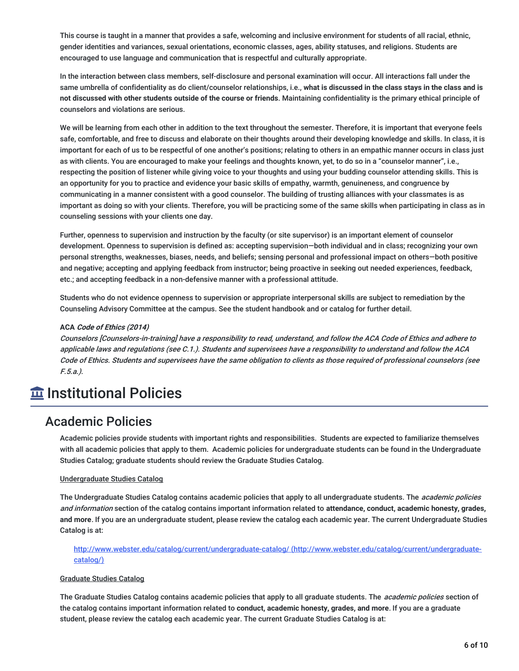This course is taught in a manner that provides a safe, welcoming and inclusive environment for students of all racial, ethnic, gender identities and variances, sexual orientations, economic classes, ages, ability statuses, and religions. Students are encouraged to use language and communication that is respectful and culturally appropriate.

In the interaction between class members, self-disclosure and personal examination will occur. All interactions fall under the same umbrella of confidentiality as do client/counselor relationships, i.e., **what is discussed in the class stays in the class and is not discussed with other students outside of the course or friends**. Maintaining confidentiality is the primary ethical principle of counselors and violations are serious.

We will be learning from each other in addition to the text throughout the semester. Therefore, it is important that everyone feels safe, comfortable, and free to discuss and elaborate on their thoughts around their developing knowledge and skills. In class, it is important for each of us to be respectful of one another's positions; relating to others in an empathic manner occurs in class just as with clients. You are encouraged to make your feelings and thoughts known, yet, to do so in a "counselor manner", i.e., respecting the position of listener while giving voice to your thoughts and using your budding counselor attending skills. This is an opportunity for you to practice and evidence your basic skills of empathy, warmth, genuineness, and congruence by communicating in a manner consistent with a good counselor. The building of trusting alliances with your classmates is as important as doing so with your clients. Therefore, you will be practicing some of the same skills when participating in class as in counseling sessions with your clients one day.

Further, openness to supervision and instruction by the faculty (or site supervisor) is an important element of counselor development. Openness to supervision is defined as: accepting supervision—both individual and in class; recognizing your own personal strengths, weaknesses, biases, needs, and beliefs; sensing personal and professional impact on others—both positive and negative; accepting and applying feedback from instructor; being proactive in seeking out needed experiences, feedback, etc.; and accepting feedback in a non-defensive manner with a professional attitude.

Students who do not evidence openness to supervision or appropriate interpersonal skills are subject to remediation by the Counseling Advisory Committee at the campus. See the student handbook and or catalog for further detail.

#### **ACA Code of Ethics (2014)**

Counselors [Counselors-in-training] have <sup>a</sup> responsibility to read, understand, and follow the ACA Code of Ethics and adhere to applicable laws and regulations (see C.1.). Students and supervisees have <sup>a</sup> responsibility to understand and follow the ACA Code of Ethics. Students and supervisees have the same obligation to clients as those required of professional counselors (see F.5.a.).

# **Imergenal Policies**

### Academic Policies

Academic policies provide students with important rights and responsibilities. Students are expected to familiarize themselves with all academic policies that apply to them. Academic policies for undergraduate students can be found in the Undergraduate Studies Catalog; graduate students should review the Graduate Studies Catalog.

#### Undergraduate Studies Catalog

The Undergraduate Studies Catalog contains academic policies that apply to all undergraduate students. The academic policies and information section of the catalog contains important information related to **attendance, conduct, academic honesty, grades, and more**. If you are an undergraduate student, please review the catalog each academic year. The current Undergraduate Studies Catalog is at:

http://www.webster.edu/catalog/current/undergraduate-catalog/ (http://www.webster.edu/catalog/current/undergraduatecatalog/)

#### Graduate Studies Catalog

The Graduate Studies Catalog contains academic policies that apply to all graduate students. The *academic policies* section of the catalog contains important information related to **conduct, academic honesty, grades, and more**. If you are a graduate student, please review the catalog each academic year. The current Graduate Studies Catalog is at: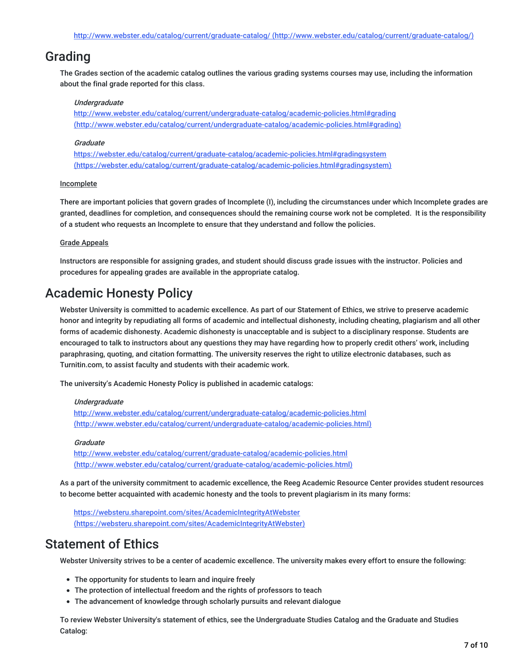# Grading

The Grades section of the academic catalog outlines the various grading systems courses may use, including the information about the final grade reported for this class.

#### **Undergraduate**

http://www.webster.edu/catalog/current/undergraduate-catalog/academic-policies.html#grading (http://www.webster.edu/catalog/current/undergraduate-catalog/academic-policies.html#grading)

#### **Graduate**

https://webster.edu/catalog/current/graduate-catalog/academic-policies.html#gradingsystem (https://webster.edu/catalog/current/graduate-catalog/academic-policies.html#gradingsystem)

#### Incomplete

There are important policies that govern grades of Incomplete (I), including the circumstances under which Incomplete grades are granted, deadlines for completion, and consequences should the remaining course work not be completed. It is the responsibility of a student who requests an Incomplete to ensure that they understand and follow the policies.

#### Grade Appeals

Instructors are responsible for assigning grades, and student should discuss grade issues with the instructor. Policies and procedures for appealing grades are available in the appropriate catalog.

# Academic Honesty Policy

Webster University is committed to academic excellence. As part of our Statement of Ethics, we strive to preserve academic honor and integrity by repudiating all forms of academic and intellectual dishonesty, including cheating, plagiarism and all other forms of academic dishonesty. Academic dishonesty is unacceptable and is subject to a disciplinary response. Students are encouraged to talk to instructors about any questions they may have regarding how to properly credit others' work, including paraphrasing, quoting, and citation formatting. The university reserves the right to utilize electronic databases, such as Turnitin.com, to assist faculty and students with their academic work.

The university's Academic Honesty Policy is published in academic catalogs:

#### Undergraduate

http://www.webster.edu/catalog/current/undergraduate-catalog/academic-policies.html (http://www.webster.edu/catalog/current/undergraduate-catalog/academic-policies.html)

#### **Graduate**

http://www.webster.edu/catalog/current/graduate-catalog/academic-policies.html (http://www.webster.edu/catalog/current/graduate-catalog/academic-policies.html)

As a part of the university commitment to academic excellence, the Reeg Academic Resource Center provides student resources to become better acquainted with academic honesty and the tools to prevent plagiarism in its many forms:

https://websteru.sharepoint.com/sites/AcademicIntegrityAtWebster (https://websteru.sharepoint.com/sites/AcademicIntegrityAtWebster)

### Statement of Ethics

Webster University strives to be a center of academic excellence. The university makes every effort to ensure the following:

- The opportunity for students to learn and inquire freely
- The protection of intellectual freedom and the rights of professors to teach
- The advancement of knowledge through scholarly pursuits and relevant dialogue

To review Webster University's statement of ethics, see the Undergraduate Studies Catalog and the Graduate and Studies Catalog: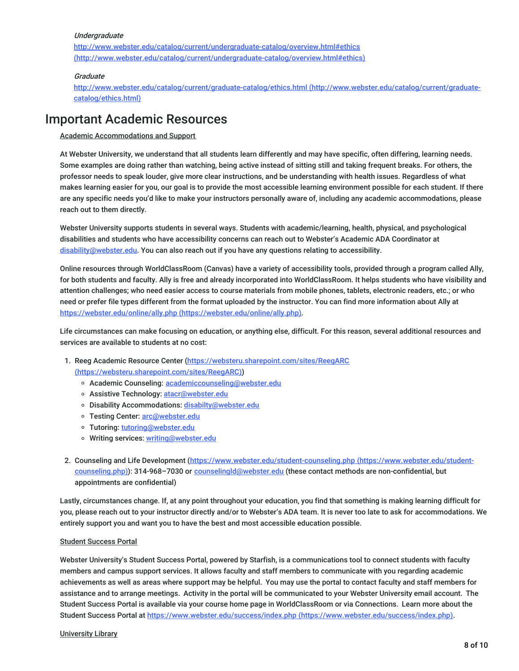#### **Undergraduate**

http://www.webster.edu/catalog/current/undergraduate-catalog/overview.html#ethics (http://www.webster.edu/catalog/current/undergraduate-catalog/overview.html#ethics)

#### **Graduate**

http://www.webster.edu/catalog/current/graduate-catalog/ethics.html (http://www.webster.edu/catalog/current/graduatecatalog/ethics.html)

### Important Academic Resources

Academic Accommodations and Support

At Webster University, we understand that all students learn differently and may have specific, often differing, learning needs. Some examples are doing rather than watching, being active instead of sitting still and taking frequent breaks. For others, the professor needs to speak louder, give more clear instructions, and be understanding with health issues. Regardless of what makes learning easier for you, our goal is to provide the most accessible learning environment possible for each student. If there are any specific needs you'd like to make your instructors personally aware of, including any academic accommodations, please reach out to them directly.

Webster University supports students in several ways. Students with academic/learning, health, physical, and psychological disabilities and students who have accessibility concerns can reach out to Webster's Academic ADA Coordinator at disability@webster.edu. You can also reach out if you have any questions relating to accessibility.

Online resources through WorldClassRoom (Canvas) have a variety of accessibility tools, provided through a program called Ally, for both students and faculty. Ally is free and already incorporated into WorldClassRoom. It helps students who have visibility and attention challenges; who need easier access to course materials from mobile phones, tablets, electronic readers, etc.; or who need or prefer file types different from the format uploaded by the instructor. You can find more information about Ally at https://webster.edu/online/ally.php (https://webster.edu/online/ally.php).

Life circumstances can make focusing on education, or anything else, difficult. For this reason, several additional resources and services are available to students at no cost:

- 1. Reeg Academic Resource Center (https://websteru.sharepoint.com/sites/ReegARC (https://websteru.sharepoint.com/sites/ReegARC))
	- o Academic Counseling: academiccounseling@webster.edu
	- o Assistive Technology: atacr@webster.edu
	- o Disability Accommodations: disabilty@webster.edu
	- o Testing Center: arc@webster.edu
	- o Tutoring: tutoring@webster.edu
	- o Writing services: writing@webster.edu
- 2. Counseling and Life Development (https://www.webster.edu/student-counseling.php (https://www.webster.edu/studentcounseling.php)): 314-968-7030 or counselingld@webster.edu (these contact methods are non-confidential, but appointments are confidential)

Lastly, circumstances change. If, at any point throughout your education, you find that something is making learning difficult for you, please reach out to your instructor directly and/or to Webster's ADA team. It is never too late to ask for accommodations. We entirely support you and want you to have the best and most accessible education possible.

#### Student Success Portal

Webster University's Student Success Portal, powered by Starfish, is a communications tool to connect students with faculty members and campus support services. It allows faculty and staff members to communicate with you regarding academic achievements as well as areas where support may be helpful. You may use the portal to contact faculty and staff members for assistance and to arrange meetings. Activity in the portal will be communicated to your Webster University email account. The Student Success Portal is available via your course home page in WorldClassRoom or via Connections. Learn more about the Student Success Portal at https://www.webster.edu/success/index.php (https://www.webster.edu/success/index.php).

#### University Library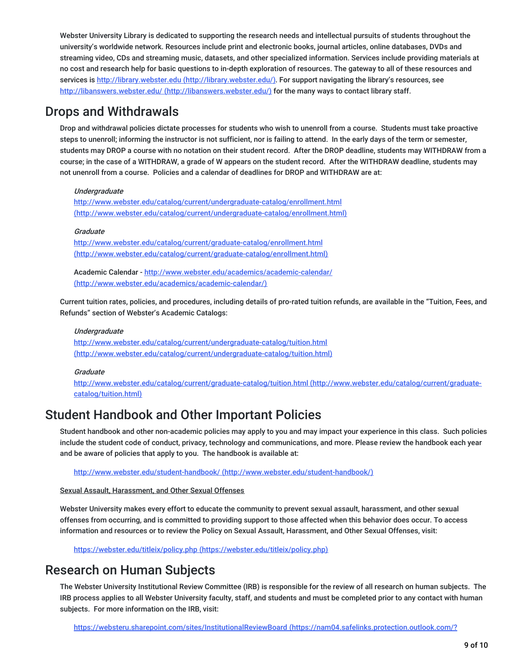Webster University Library is dedicated to supporting the research needs and intellectual pursuits of students throughout the university's worldwide network. Resources include print and electronic books, journal articles, online databases, DVDs and streaming video, CDs and streaming music, datasets, and other specialized information. Services include providing materials at no cost and research help for basic questions to in-depth exploration of resources. The gateway to all of these resources and services is http://library.webster.edu (http://library.webster.edu/). For support navigating the library's resources, see http://libanswers.webster.edu/ (http://libanswers.webster.edu/) for the many ways to contact library staff.

### Drops and Withdrawals

Drop and withdrawal policies dictate processes for students who wish to unenroll from a course. Students must take proactive steps to unenroll; informing the instructor is not sufficient, nor is failing to attend. In the early days of the term or semester, students may DROP a course with no notation on their student record. After the DROP deadline, students may WITHDRAW from a course; in the case of a WITHDRAW, a grade of W appears on the student record. After the WITHDRAW deadline, students may not unenroll from a course. Policies and a calendar of deadlines for DROP and WITHDRAW are at:

#### **Underaraduate**

http://www.webster.edu/catalog/current/undergraduate-catalog/enrollment.html (http://www.webster.edu/catalog/current/undergraduate-catalog/enrollment.html)

#### **Graduate**

http://www.webster.edu/catalog/current/graduate-catalog/enrollment.html (http://www.webster.edu/catalog/current/graduate-catalog/enrollment.html)

Academic Calendar - http://www.webster.edu/academics/academic-calendar/ (http://www.webster.edu/academics/academic-calendar/)

Current tuition rates, policies, and procedures, including details of pro-rated tuition refunds, are available in the "Tuition, Fees, and Refunds" section of Webster's Academic Catalogs:

#### Undergraduate

http://www.webster.edu/catalog/current/undergraduate-catalog/tuition.html (http://www.webster.edu/catalog/current/undergraduate-catalog/tuition.html)

#### **Graduate**

http://www.webster.edu/catalog/current/graduate-catalog/tuition.html (http://www.webster.edu/catalog/current/graduatecatalog/tuition.html)

# Student Handbook and Other Important Policies

Student handbook and other non-academic policies may apply to you and may impact your experience in this class. Such policies include the student code of conduct, privacy, technology and communications, and more. Please review the handbook each year and be aware of policies that apply to you. The handbook is available at:

http://www.webster.edu/student-handbook/ (http://www.webster.edu/student-handbook/)

#### Sexual Assault, Harassment, and Other Sexual Offenses

Webster University makes every effort to educate the community to prevent sexual assault, harassment, and other sexual offenses from occurring, and is committed to providing support to those affected when this behavior does occur. To access information and resources or to review the Policy on Sexual Assault, Harassment, and Other Sexual Offenses, visit:

https://webster.edu/titleix/policy.php (https://webster.edu/titleix/policy.php)

# Research on Human Subjects

The Webster University Institutional Review Committee (IRB) is responsible for the review of all research on human subjects. The IRB process applies to all Webster University faculty, staff, and students and must be completed prior to any contact with human subjects. For more information on the IRB, visit:

https://websteru.sharepoint.com/sites/InstitutionalReviewBoard (https://nam04.safelinks.protection.outlook.com/?